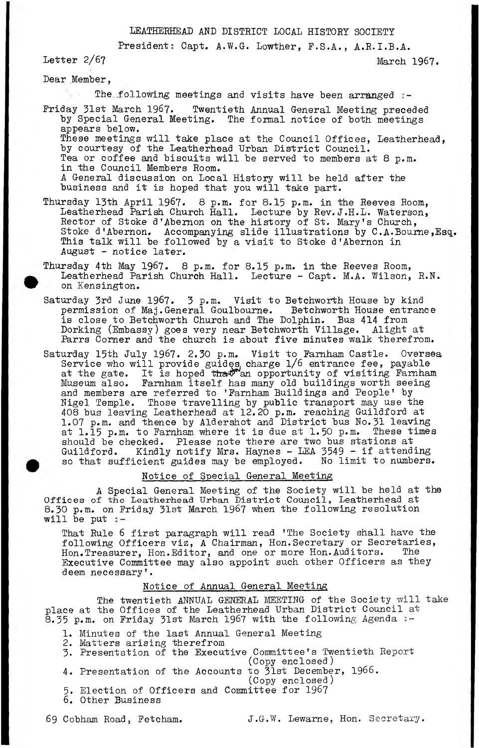# **LEATHERHEAD AND DISTRICT LOCAL HISTORY SOCIETY**

**Presidents Capt. A.W.G-. Lowther, F.S.A., A.R.I.B.A.**

**Letter** 2/67 **March 1967.**

**Dear .Member,**

**The\_following meetings and visits have been arranged** 2**-**

- **Friday 31st March 1967. Twentieth Annual General Meeting preceded** by Special General Meeting. The formal notice of both meetings **appears below. These meetings will take place at the Council Offices, Leatherhead, by courtesy of the Leatherhead Urban District Council. Tea or coffee and biscuits will be served to members at** 8 **p.m. in the Council Members Room. A General discussion on Local History will be held after the business and it is hoped that you will take part.**
- **Thursday 13th April 1967.** 8 **p.m. for 8.15 p»m. in the Reeves Room, Leatherhead Parish Church Hall. Lecture by Rev.J.H.L. Waterson, Rector of Stoke d 'Abernon on the history of St. Mary's Church, Stoke d'Abernon. Accompanying slide illustrations by C.A\*Bourne,Esq. This talk will be followed by a visit to Stoke d'Abernon in August - notice later.**
- **Thursday 4th May 1967.** 8 **p.m. for 8.15 p\*m. in the Reeves Room, Leatherhead Parish Church Hall. Lecture - Capt. M.A. Wilson, R.N. on Kensington.**
- **Saturday 3rd June 1967. 3 p.m. Visit to Betchworth House by kind** permission of Maj.General Goulbourne. **is close to Betchworth Church and The Dolphin. Bus 414 from Dorking (Embassy) goes very near Betchworth Village. Alight at Parrs Corner and the church is about five minutes walk therefrom.**
- Saturday 15th July 1967. 2.30 p.m. Visit to Farnham Castle. Oversea **Service who will provide guides, charge l**/6 **entrance fee, payable** at the gate. It is hoped t<del>hat</del> an opportunity of visiting Farnham **Museum also. Farnham itself has many old buildings worth seeing and members are referred to 'Farnham Buildings and People' by Nigel Temple. Those travelling by public transport may use the 408 bus leaving Leatherhead at 12.20 p.m. reaching Guildford at 1.07 p.m. and thence by Aldershot and District bus No. 31 leaving** at l*.*15 p.m. to Farnham where it is due at l.50 p.m. These times **should be checked. Please note there are two bus stations at Guildford. Kindly notify Mrs. Haynes - LEA 3549 - if attending so that sufficient guides may be employed. No limit to numbers.**

#### **Notice of Special General Meeting**

**A Special General Meeting of the Society will be held at the Offices of the Leatherhead Urban District Council, Leatherhead at 8.30 p.m. on Friday 31st March 1967 when the following resolution will be put**

**That Rule** 6 **first paragraph will read 'The Society shall have the following Officers viz, A Chairman, Hon.Secretary or Secretaries, Hon«Treasurer, Hon.Editor, and one or more Hon.Auditors. The Executive Committee may also appoint such other Officers as they deem necessary'.**

## **Notice of Annual General Meeting**

**The twentieth ANNUAL GENERAL MEETING of the Society will take place at the Offices of the Leatherhead Urban District Council at 8.35 p.m. on Friday 31st March 1967 with the following Agenda** *z -*

- **1. Minutes of the last Annual General Meeting**
- **2. Matters arising therefrom**
- **3. Presentation of the Executive Committee's Twentieth** Report **(Copy enclosed)**
- **4. Presentation of the Accounts to 31st December, 1966.**
	- **(Copy enclosed)**
- **5. Election of Officers and Committee for 1967**
- **6. Other Business**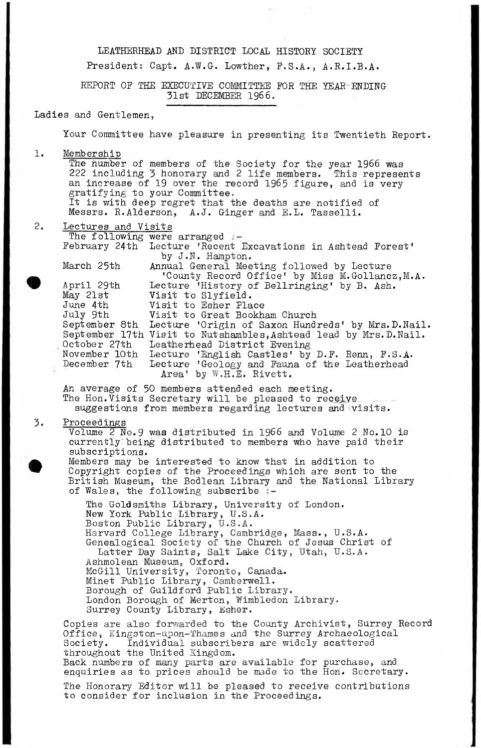LEATHERHEAD AND DISTRICT LOCAL HISTORY SOCIETY

President: Capt. A.W.G. Lowther, F.S.A., A.R.I.B.A.

REPORT OF THE EXECUTIVE COMMITTEE POR THE YEAR-ENDING 31st DECEMBER 1966.

### Ladies and Gentlemen,

Your Committee have pleasure in presenting its Twentieth Report.

1. Membership

The number of members of the Society for the year 1966 was 222 including 3 honorary and 2 life members. This represents an increase of 19 over the record 1965 figure, and is very gratifying to your Committee. It is with deep regret that the deaths are notified of Messrs. R.Alderson, A.J. Ginger and E.L. Tasselli.

2. Lectures and Visits The following were arranged :-February 24th Lecture 'Recent Excavations in Ashtead Forest'

by J.N. Hampton. March 25th Annual General Meeting followed by Lecture 'County Record Office' by Miss M.Gollancz, M.A.<br>April 29th Lecture 'History of Bellringing' by B. Ash. April 29th Lecture 'History of Bellringing' by B. Ash.<br>May 21st **Visit to Slyfield.** Visit to Slyfield. June 4th Visit to Esher Place July 9th Visit to Great Bookham Church September 8th Lecture 'Origin of Saxon Hundreds1 by Mrs. D. Nail. September 17th Visit to Nutshambles, Ashtead lead by Mrs. D. Nail. October 27th Leatherhead District Evening<br>November 10th Lecture 'English Castles' by<br>December 7th Lecture 'Geology and Fauna o November 10th Lecture 'English Castles' by D.F. Renn, F .S .A . December 7th Lecture 'Geology and Fauna of the Leatherhead Area' by W .H .E. Rivett.

An average of 50 members attended each meeting. The Hon.  $\bar{V}$ isits Secretary will be pleased to receive. suggestions from members regarding lectures and visits.

3. Proceedings

**•**

Volume  $2$  No.9 was distributed in 1966 and Volume  $2$  No.10 is currently"being distributed to members who have paid their subscriptions. Members may be interested to know that in addition to Copyright copies of the Proceedings which are sent to the British Museum, the Bodlean Library and the National Library of Wales, the following subscribe *% -*

The Goldsmiths Library, University of London. New York Public Library, U .S .A . Boston Public Library, U .S .A . Harvard College Library, Cambridge, Mass., U.S.A. Genealogical Society of the Church of Jesus Christ of Latter Day Saints, Salt Lake City, Utah, U.S.A. Ashmolean Museum, Oxford. McGill University, Toronto, Canada. Minet Public Library, Camberwell. Borough of Guildford Public Library. London Borough of Merton, Wimbledon Library. Surrey County Library, Esher.

Copies are also forwarded to the County Archivist, Surrey Record Office, Kingston-upon-Thames and the Surrey Archaeological Society. Individual subscribers are widely scattered throughout the United Kingdom. Back numbers of many parts are available for purchase, and enquiries as to prices should be made to the Hon. Secretary.

The Honorary Editor will be pleased to receive contributions to consider for inclusion in the Proceedings.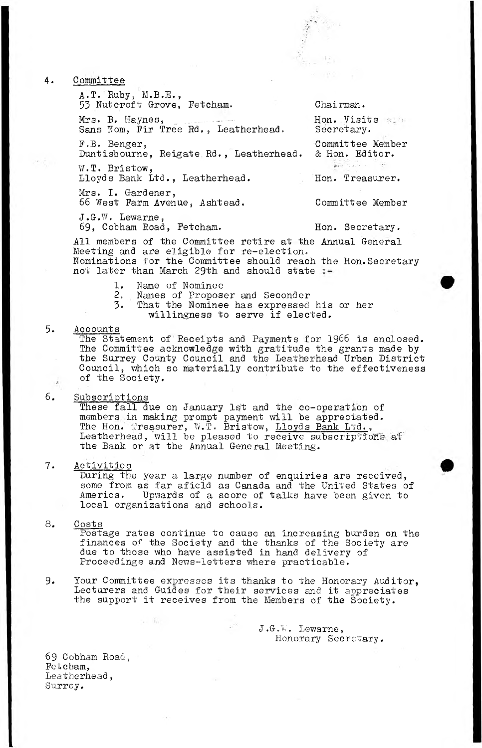4. Committee

 $A \cdot T$ . Ruby, M.B.E., 53 Nutcroft Grove, Fetcham. Chairman.

Mr a. B. Haynes, ............... -... Hon. Visits Sans Nom, Pir Tree Rd., Leatherhead.

Duntisbourne, Reigate Rd., Leatherhead. & Hon. Editor. W.T. Bristow,

Lloyds Bank Ltd., Leatherhead. Hon. Treasurer.

Mrs. I. Gardener, 66 West Farm Avenue, Ashtead. Committee Member

J.G.W. Lewarne, 69, Cobham Road, Fetcham. Hon. Secretary.

P.B . Benger, Committee Member **Alle Coulting** 

All members of the Committee retire at the Annual General Meeting and are eligible for re-election. Nominations for the Committee should reach the Hon.Secretary not later than March 29th and should state

- 1. Name of Nominee
- 2. Names of Proposer and Seconder
- 3.■ That the Nominee has expressed his or her
	- willingness to serve if elected.

5. Accounts

The Statement of Receipts and Payments for 1966 is enclosed. The Committee acknowledge with gratitude the grants made by the Surrey County Council and the Leatherhead Urban District Council, which so materially contribute to the effectiveness of the Society.

## 6. Subscriptions

These fall due on January 1st and the co-operation of members in making prompt payment will be appreciated. The Hon. Treasurer, W.T. Bristow, Lloyds Bank Ltd., Leatherhead, will be pleased to receive subscriptions at the Bank or at the Annual General Meeting.

#### 7. Activities

During the year a large number of enquiries are received, some from as far afield as Canada and the United States of America. Upwards of a score of talks have been given to local organizations and schools.

### 8. Costs

Postage rates continue to cause an increasing burden on the finances of the Society and the thanks of the Society are due to those who have assisted in hand delivery of Proceedings and News-letters where practicable.

9. Your Committee expresses its thanks to the Honorary Auditor, Lecturers and Guides for their services and it appreciates the support it receives from the Members of the Society.

> J.G .W . Lewarne, Honorary Secretary.

69 Cobham Road, Petcham, Leatherhead, Surrey.